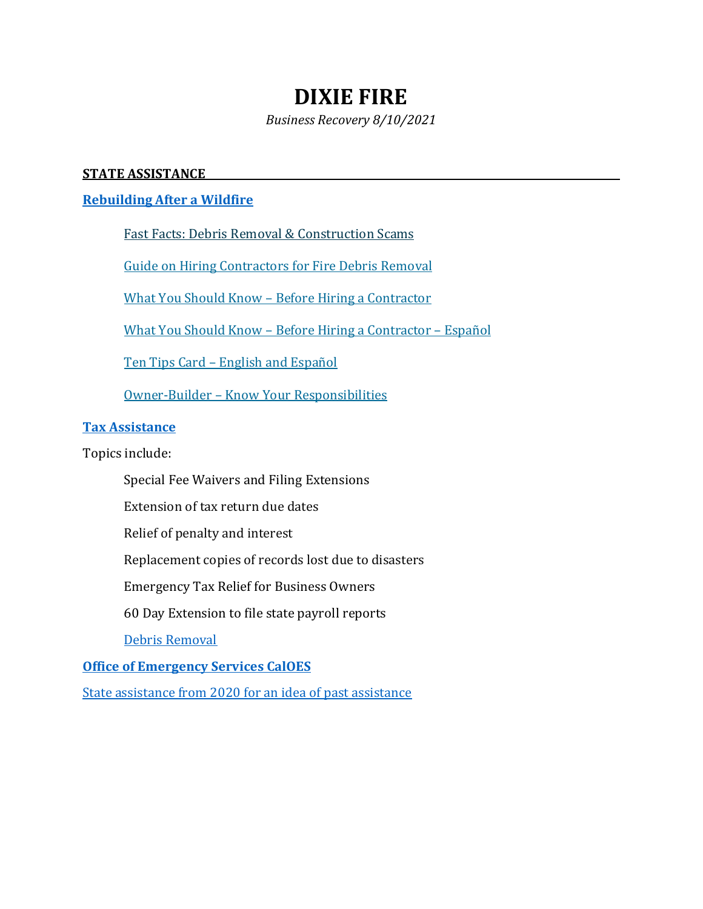# **DIXIE FIRE**

*Business Recovery 8/10/2021*

## **STATE ASSISTANCE**

# **[Rebuilding After a Wildfire](https://wildfirerecovery.caloes.ca.gov/general-info/rebuilding/?cat=81)**

Fast Facts: Debris Removal & [Construction](http://www.cslb.ca.gov/Resources/GuidesandPublications/DebrisRemovalFacts.pdf) Scams

Guide on Hiring [Contractors](http://www.cslb.ca.gov/Resources/GuidesandPublications/DebrisRemovalFacts.pdf) for Fire Debris Removal

What You Should Know – Before Hiring a [Contractor](http://wildfirerecovery.caloes.ca.gov/wp-content/uploads/sites/7/2017/10/WYSK.pdf)

What You Should Know – Before Hiring a [Contractor](http://wildfirerecovery.caloes.ca.gov/wp-content/uploads/sites/7/2017/10/WYSK_Spanish.pdf) – Español

Ten Tips Card – English and [Español](http://wildfirerecovery.caloes.ca.gov/wp-content/uploads/sites/7/2017/10/TenTipsCard_EngSpan.pdf)

Owner-Builder – Know Your [Responsibilities](http://wildfirerecovery.caloes.ca.gov/wp-content/uploads/sites/7/2017/10/OwnerBuilder.pdf)

#### **[Tax Assistance](https://wildfirerecovery.caloes.ca.gov/general-info/tax-assistance/?cat=81)**

Topics include:

- Special Fee Waivers and Filing Extensions
- Extension of tax return due dates

Relief of penalty and interest

Replacement copies of records lost due to disasters

Emergency Tax Relief for Business Owners

60 Day Extension to file state payroll reports

[Debris Removal](https://wildfirerecovery.caloes.ca.gov/general-info/debris-removal-2/?cat=81)

#### **[Office of Emergency Services CalOES](https://businessportal.ca.gov/business-assistance/emergency-preparedness-and-recovery/)**

[State assistance from 2020 for an idea of past assistance](https://www.sos.ca.gov/business-programs/business-entities/disaster-recovery)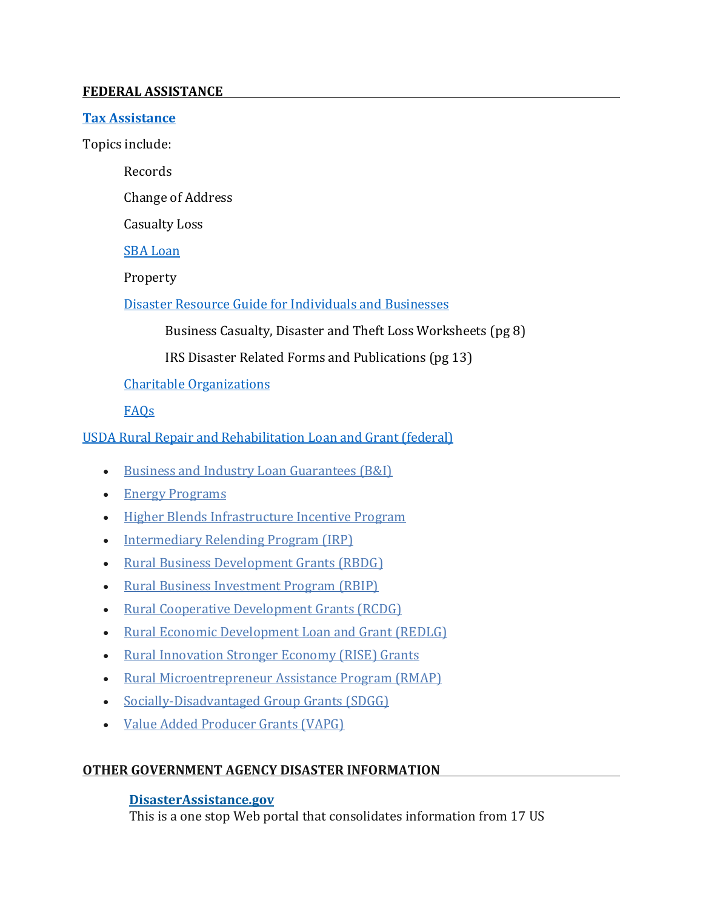#### **FEDERAL ASSISTANCE**

#### **[Tax Assistance](https://www.irs.gov/businesses/small-businesses-self-employed/faqs-for-disaster-victims)**

Topics include:

Records

Change of Address

Casualty Loss

[SBA Loan](http://www.sba.gov/about-offices-content/1/2462)

Property

[Disaster Resource Guide for Individuals and Businesses](https://www.irs.gov/pub/irs-pdf/p2194.pdf)

Business Casualty, Disaster and Theft Loss Worksheets (pg 8)

IRS Disaster Related Forms and Publications (pg 13)

## [Charitable Organizations](https://www.irs.gov/pub/irs-pdf/p3833.pdf)

## [FAQs](https://www.irs.gov/businesses/small-businesses-self-employed/faqs-for-disaster-victims)

[USDA Rural Repair and Rehabilitation Loan and Grant](https://www.rd.usda.gov/programs-services/single-family-housing-repair-loans-grants) (federal)

- [Business and Industry Loan Guarantees \(B&I\)](https://www.rd.usda.gov/programs-services/business-industry-loan-guarantees)
- [Energy Programs](https://www.rd.usda.gov/programs-services/all-programs/energy-programs)
- [Higher Blends Infrastructure Incentive Program](https://www.rd.usda.gov/hbiip)
- [Intermediary Relending Program \(IRP\)](https://www.rd.usda.gov/programs-services/intermediary-relending-program)
- [Rural Business Development Grants \(RBDG\)](https://www.rd.usda.gov/programs-services/rural-business-development-grants)
- [Rural Business Investment Program \(RBIP\)](https://www.rd.usda.gov/programs-services/rural-business-investment-program)
- [Rural Cooperative Development Grants \(RCDG\)](https://www.rd.usda.gov/programs-services/rural-cooperative-development-grant-program)
- [Rural Economic Development Loan and Grant \(REDLG\)](https://www.rd.usda.gov/programs-services/rural-economic-development-loan-grant-program)
- [Rural Innovation Stronger Economy \(RISE\) Grants](https://www.rd.usda.gov/programs-services/rural-innovation-stronger-economy-rise-grants)
- [Rural Microentrepreneur Assistance Program \(RMAP\)](https://www.rd.usda.gov/programs-services/rural-microentrepreneur-assistance-program)
- [Socially-Disadvantaged Group Grants \(SDGG\)](https://www.rd.usda.gov/programs-services/socially-disadvantaged-groups-grant)
- [Value Added Producer Grants \(VAPG\)](https://www.rd.usda.gov/programs-services/value-added-producer-grants)

# **OTHER GOVERNMENT AGENCY DISASTER INFORMATION**

#### **[DisasterAssistance.gov](http://www.disasterassistance.gov/)**

This is a one stop Web portal that consolidates information from 17 US